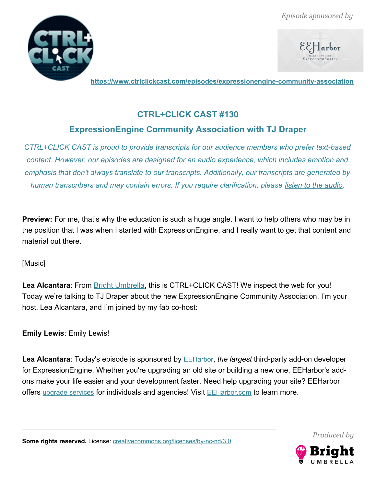



**<https://www.ctrlclickcast.com/episodes/expressionengine-community-association>**

## **CTRL+CLICK CAST #130**

# **ExpressionEngine Community Association with TJ Draper**

*CTRL+CLICK CAST is proud to provide transcripts for our audience members who prefer text-based content. However, our episodes are designed for an audio experience, which includes emotion and emphasis that don't always translate to our transcripts. Additionally, our transcripts are generated by human transcribers and may contain errors. If you require clarification, please [listen to the audio.](https://www.ctrlclickcast.com/episodes/expressionengine-community-association)*

**Preview:** For me, that's why the education is such a huge angle. I want to help others who may be in the position that I was when I started with ExpressionEngine, and I really want to get that content and material out there.

[Music]

Lea Alcantara: From **Bright Umbrella**, this is CTRL+CLICK CAST! We inspect the web for you! Today we're talking to TJ Draper about the new ExpressionEngine Community Association. I'm your host, Lea Alcantara, and I'm joined by my fab co-host:

**Emily Lewis**: Emily Lewis!

**Lea Alcantara**: Today's episode is sponsored by [EEHarbor](https://eeharbor.com/?utm_source=CTRLCLICK), *the largest* third-party add-on developer for ExpressionEngine. Whether you're upgrading an old site or building a new one, EEHarbor's addons make your life easier and your development faster. Need help upgrading your site? EEHarbor offers [upgrade services](https://eeharbor.com/expressionengine-upgrade?utm_source=CTRLCLICK) for individuals and agencies! Visit **[EEHarbor.com](https://eeharbor.com/expressionengine-upgrade?utm_source=CTRLCLICK)** to learn more.



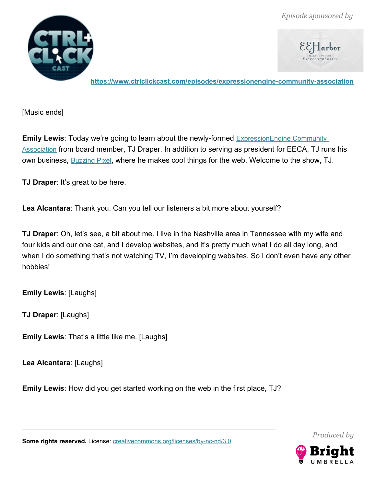

 $\mathcal{E}\mathcal{E}$   $\mathsf{\mathsf{\mathsf{\mathsf{\mathsf{\mathsf{I}}}}}}$  arbor

**<https://www.ctrlclickcast.com/episodes/expressionengine-community-association>**

[Music ends]

**Emily Lewis**: Today we're going to learn about the newly-formed **ExpressionEngine Community** [Association](https://eecommunity.org/) from board member, TJ Draper. In addition to serving as president for EECA, TJ runs his own business, **[Buzzing Pixel](https://buzzingpixel.com/)**, where he makes cool things for the web. Welcome to the show, TJ.

**TJ Draper**: It's great to be here.

**Lea Alcantara**: Thank you. Can you tell our listeners a bit more about yourself?

**TJ Draper**: Oh, let's see, a bit about me. I live in the Nashville area in Tennessee with my wife and four kids and our one cat, and I develop websites, and it's pretty much what I do all day long, and when I do something that's not watching TV, I'm developing websites. So I don't even have any other hobbies!

**Emily Lewis**: [Laughs]

**TJ Draper**: [Laughs]

**Emily Lewis**: That's a little like me. [Laughs]

**Lea Alcantara**: [Laughs]

**Emily Lewis**: How did you get started working on the web in the first place, TJ?

Some rights reserved. License: [creativecommons.org/licenses/by-nc-nd/3.0](http://creativecommons.org/licenses/by-nc-nd/3.0/)

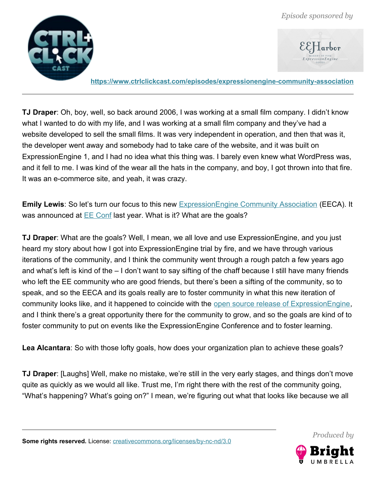



**<https://www.ctrlclickcast.com/episodes/expressionengine-community-association>**

**TJ Draper**: Oh, boy, well, so back around 2006, I was working at a small film company. I didn't know what I wanted to do with my life, and I was working at a small film company and they've had a website developed to sell the small films. It was very independent in operation, and then that was it, the developer went away and somebody had to take care of the website, and it was built on ExpressionEngine 1, and I had no idea what this thing was. I barely even knew what WordPress was, and it fell to me. I was kind of the wear all the hats in the company, and boy, I got thrown into that fire. It was an e-commerce site, and yeah, it was crazy.

**Emily Lewis**: So let's turn our focus to this new [ExpressionEngine Community Association](https://eecommunity.org/) (EECA). It was announced at  $E\to$  Conf last year. What is it? What are the goals?

**TJ Draper**: What are the goals? Well, I mean, we all love and use ExpressionEngine, and you just heard my story about how I got into ExpressionEngine trial by fire, and we have through various iterations of the community, and I think the community went through a rough patch a few years ago and what's left is kind of the – I don't want to say sifting of the chaff because I still have many friends who left the EE community who are good friends, but there's been a sifting of the community, so to speak, and so the EECA and its goals really are to foster community in what this new iteration of community looks like, and it happened to coincide with the [open source release of ExpressionEngine,](https://expressionengine.com/blog/expressionengine-is-now-free) and I think there's a great opportunity there for the community to grow, and so the goals are kind of to foster community to put on events like the ExpressionEngine Conference and to foster learning.

**Lea Alcantara**: So with those lofty goals, how does your organization plan to achieve these goals?

**TJ Draper**: [Laughs] Well, make no mistake, we're still in the very early stages, and things don't move quite as quickly as we would all like. Trust me, I'm right there with the rest of the community going, "What's happening? What's going on?" I mean, we're figuring out what that looks like because we all



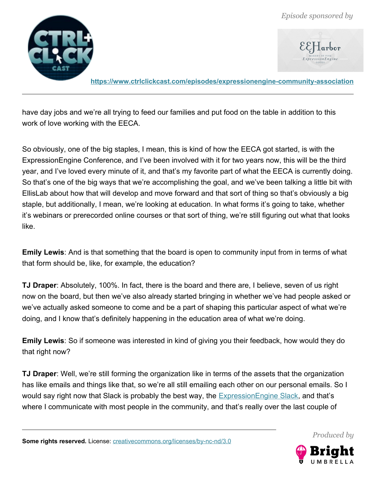

**<https://www.ctrlclickcast.com/episodes/expressionengine-community-association>**

have day jobs and we're all trying to feed our families and put food on the table in addition to this work of love working with the EECA.

So obviously, one of the big staples, I mean, this is kind of how the EECA got started, is with the ExpressionEngine Conference, and I've been involved with it for two years now, this will be the third year, and I've loved every minute of it, and that's my favorite part of what the EECA is currently doing. So that's one of the big ways that we're accomplishing the goal, and we've been talking a little bit with EllisLab about how that will develop and move forward and that sort of thing so that's obviously a big staple, but additionally, I mean, we're looking at education. In what forms it's going to take, whether it's webinars or prerecorded online courses or that sort of thing, we're still figuring out what that looks like.

**Emily Lewis**: And is that something that the board is open to community input from in terms of what that form should be, like, for example, the education?

**TJ Draper**: Absolutely, 100%. In fact, there is the board and there are, I believe, seven of us right now on the board, but then we've also already started bringing in whether we've had people asked or we've actually asked someone to come and be a part of shaping this particular aspect of what we're doing, and I know that's definitely happening in the education area of what we're doing.

**Emily Lewis**: So if someone was interested in kind of giving you their feedback, how would they do that right now?

**TJ Draper**: Well, we're still forming the organization like in terms of the assets that the organization has like emails and things like that, so we're all still emailing each other on our personal emails. So I would say right now that Slack is probably the best way, the **ExpressionEngine Slack**, and that's where I communicate with most people in the community, and that's really over the last couple of

Some rights reserved. License: [creativecommons.org/licenses/by-nc-nd/3.0](http://creativecommons.org/licenses/by-nc-nd/3.0/)

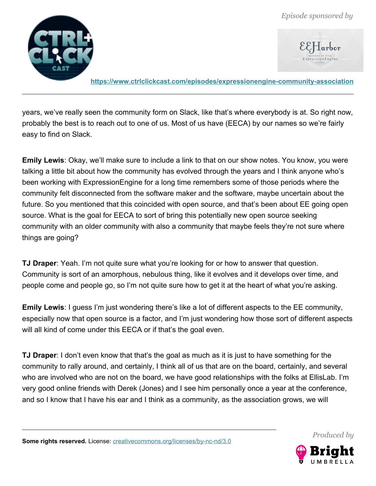

**<https://www.ctrlclickcast.com/episodes/expressionengine-community-association>**

years, we've really seen the community form on Slack, like that's where everybody is at. So right now, probably the best is to reach out to one of us. Most of us have (EECA) by our names so we're fairly easy to find on Slack.

**Emily Lewis**: Okay, we'll make sure to include a link to that on our show notes. You know, you were talking a little bit about how the community has evolved through the years and I think anyone who's been working with ExpressionEngine for a long time remembers some of those periods where the community felt disconnected from the software maker and the software, maybe uncertain about the future. So you mentioned that this coincided with open source, and that's been about EE going open source. What is the goal for EECA to sort of bring this potentially new open source seeking community with an older community with also a community that maybe feels they're not sure where things are going?

**TJ Draper**: Yeah. I'm not quite sure what you're looking for or how to answer that question. Community is sort of an amorphous, nebulous thing, like it evolves and it develops over time, and people come and people go, so I'm not quite sure how to get it at the heart of what you're asking.

**Emily Lewis**: I guess I'm just wondering there's like a lot of different aspects to the EE community, especially now that open source is a factor, and I'm just wondering how those sort of different aspects will all kind of come under this EECA or if that's the goal even.

**TJ Draper**: I don't even know that that's the goal as much as it is just to have something for the community to rally around, and certainly, I think all of us that are on the board, certainly, and several who are involved who are not on the board, we have good relationships with the folks at EllisLab. I'm very good online friends with Derek (Jones) and I see him personally once a year at the conference, and so I know that I have his ear and I think as a community, as the association grows, we will



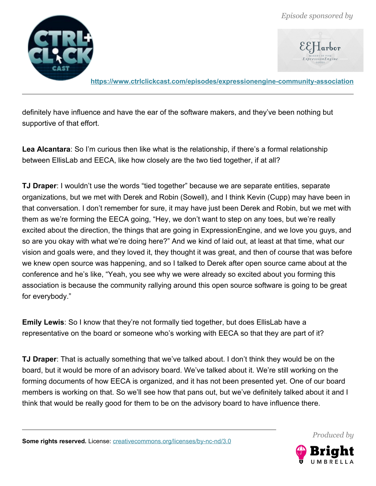

**<https://www.ctrlclickcast.com/episodes/expressionengine-community-association>**

definitely have influence and have the ear of the software makers, and they've been nothing but supportive of that effort.

**Lea Alcantara**: So I'm curious then like what is the relationship, if there's a formal relationship between EllisLab and EECA, like how closely are the two tied together, if at all?

**TJ Draper**: I wouldn't use the words "tied together" because we are separate entities, separate organizations, but we met with Derek and Robin (Sowell), and I think Kevin (Cupp) may have been in that conversation. I don't remember for sure, it may have just been Derek and Robin, but we met with them as we're forming the EECA going, "Hey, we don't want to step on any toes, but we're really excited about the direction, the things that are going in ExpressionEngine, and we love you guys, and so are you okay with what we're doing here?" And we kind of laid out, at least at that time, what our vision and goals were, and they loved it, they thought it was great, and then of course that was before we knew open source was happening, and so I talked to Derek after open source came about at the conference and he's like, "Yeah, you see why we were already so excited about you forming this association is because the community rallying around this open source software is going to be great for everybody."

**Emily Lewis**: So I know that they're not formally tied together, but does EllisLab have a representative on the board or someone who's working with EECA so that they are part of it?

**TJ Draper**: That is actually something that we've talked about. I don't think they would be on the board, but it would be more of an advisory board. We've talked about it. We're still working on the forming documents of how EECA is organized, and it has not been presented yet. One of our board members is working on that. So we'll see how that pans out, but we've definitely talked about it and I think that would be really good for them to be on the advisory board to have influence there.



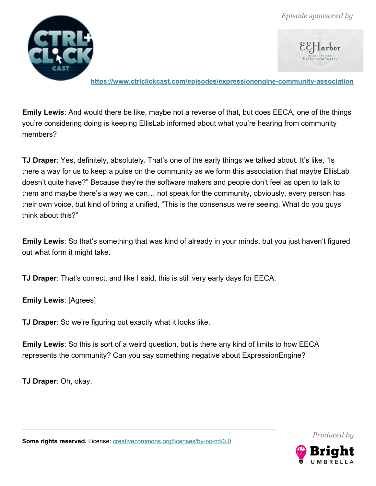

**<https://www.ctrlclickcast.com/episodes/expressionengine-community-association>**

**Emily Lewis**: And would there be like, maybe not a reverse of that, but does EECA, one of the things you're considering doing is keeping EllisLab informed about what you're hearing from community members?

**TJ Draper**: Yes, definitely, absolutely. That's one of the early things we talked about. It's like, "Is there a way for us to keep a pulse on the community as we form this association that maybe EllisLab doesn't quite have?" Because they're the software makers and people don't feel as open to talk to them and maybe there's a way we can… not speak for the community, obviously, every person has their own voice, but kind of bring a unified, "This is the consensus we're seeing. What do you guys think about this?"

**Emily Lewis**: So that's something that was kind of already in your minds, but you just haven't figured out what form it might take.

**TJ Draper**: That's correct, and like I said, this is still very early days for EECA.

**Emily Lewis**: [Agrees]

**TJ Draper**: So we're figuring out exactly what it looks like.

**Emily Lewis**: So this is sort of a weird question, but is there any kind of limits to how EECA represents the community? Can you say something negative about ExpressionEngine?

**TJ Draper**: Oh, okay.

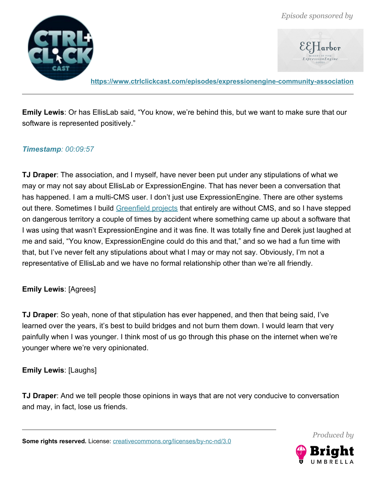

**<https://www.ctrlclickcast.com/episodes/expressionengine-community-association>**

**Emily Lewis**: Or has EllisLab said, "You know, we're behind this, but we want to make sure that our software is represented positively."

#### *Timestamp: 00:09:57*

**TJ Draper**: The association, and I myself, have never been put under any stipulations of what we may or may not say about EllisLab or ExpressionEngine. That has never been a conversation that has happened. I am a multi-CMS user. I don't just use ExpressionEngine. There are other systems out there. Sometimes I build [Greenfield projects](https://en.wikipedia.org/wiki/Greenfield_project) that entirely are without CMS, and so I have stepped on dangerous territory a couple of times by accident where something came up about a software that I was using that wasn't ExpressionEngine and it was fine. It was totally fine and Derek just laughed at me and said, "You know, ExpressionEngine could do this and that," and so we had a fun time with that, but I've never felt any stipulations about what I may or may not say. Obviously, I'm not a representative of EllisLab and we have no formal relationship other than we're all friendly.

#### **Emily Lewis**: [Agrees]

**TJ Draper**: So yeah, none of that stipulation has ever happened, and then that being said, I've learned over the years, it's best to build bridges and not burn them down. I would learn that very painfully when I was younger. I think most of us go through this phase on the internet when we're younger where we're very opinionated.

#### **Emily Lewis**: [Laughs]

**TJ Draper**: And we tell people those opinions in ways that are not very conducive to conversation and may, in fact, lose us friends.

Some rights reserved. License: [creativecommons.org/licenses/by-nc-nd/3.0](http://creativecommons.org/licenses/by-nc-nd/3.0/)

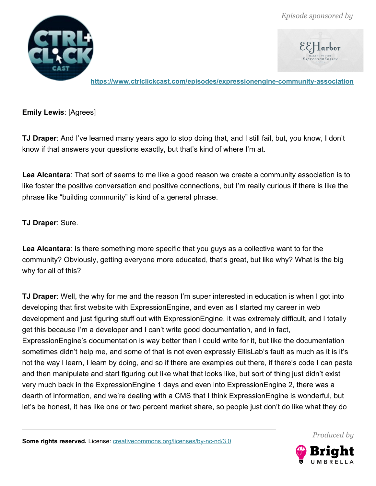

**<https://www.ctrlclickcast.com/episodes/expressionengine-community-association>**

**Emily Lewis**: [Agrees]

**TJ Draper**: And I've learned many years ago to stop doing that, and I still fail, but, you know, I don't know if that answers your questions exactly, but that's kind of where I'm at.

**Lea Alcantara**: That sort of seems to me like a good reason we create a community association is to like foster the positive conversation and positive connections, but I'm really curious if there is like the phrase like "building community" is kind of a general phrase.

**TJ Draper**: Sure.

**Lea Alcantara**: Is there something more specific that you guys as a collective want to for the community? Obviously, getting everyone more educated, that's great, but like why? What is the big why for all of this?

**TJ Draper**: Well, the why for me and the reason I'm super interested in education is when I got into developing that first website with ExpressionEngine, and even as I started my career in web development and just figuring stuff out with ExpressionEngine, it was extremely difficult, and I totally get this because I'm a developer and I can't write good documentation, and in fact, ExpressionEngine's documentation is way better than I could write for it, but like the documentation sometimes didn't help me, and some of that is not even expressly EllisLab's fault as much as it is it's not the way I learn, I learn by doing, and so if there are examples out there, if there's code I can paste and then manipulate and start figuring out like what that looks like, but sort of thing just didn't exist very much back in the ExpressionEngine 1 days and even into ExpressionEngine 2, there was a dearth of information, and we're dealing with a CMS that I think ExpressionEngine is wonderful, but let's be honest, it has like one or two percent market share, so people just don't do like what they do

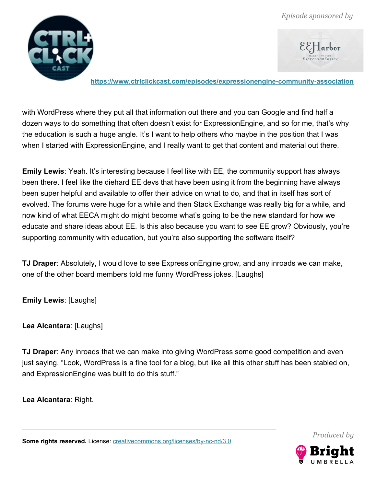

**<https://www.ctrlclickcast.com/episodes/expressionengine-community-association>**

with WordPress where they put all that information out there and you can Google and find half a dozen ways to do something that often doesn't exist for ExpressionEngine, and so for me, that's why the education is such a huge angle. It's I want to help others who maybe in the position that I was when I started with ExpressionEngine, and I really want to get that content and material out there.

**Emily Lewis**: Yeah. It's interesting because I feel like with EE, the community support has always been there. I feel like the diehard EE devs that have been using it from the beginning have always been super helpful and available to offer their advice on what to do, and that in itself has sort of evolved. The forums were huge for a while and then Stack Exchange was really big for a while, and now kind of what EECA might do might become what's going to be the new standard for how we educate and share ideas about EE. Is this also because you want to see EE grow? Obviously, you're supporting community with education, but you're also supporting the software itself?

**TJ Draper**: Absolutely, I would love to see ExpressionEngine grow, and any inroads we can make, one of the other board members told me funny WordPress jokes. [Laughs]

**Emily Lewis**: [Laughs]

**Lea Alcantara**: [Laughs]

**TJ Draper**: Any inroads that we can make into giving WordPress some good competition and even just saying, "Look, WordPress is a fine tool for a blog, but like all this other stuff has been stabled on, and ExpressionEngine was built to do this stuff."

**Lea Alcantara**: Right.

Some rights reserved. License: [creativecommons.org/licenses/by-nc-nd/3.0](http://creativecommons.org/licenses/by-nc-nd/3.0/)

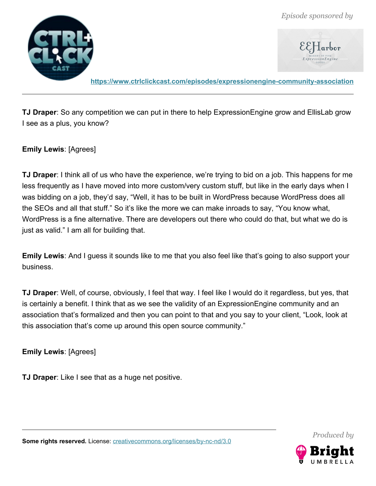

**<https://www.ctrlclickcast.com/episodes/expressionengine-community-association>**

**TJ Draper**: So any competition we can put in there to help ExpressionEngine grow and EllisLab grow I see as a plus, you know?

**Emily Lewis**: [Agrees]

**TJ Draper**: I think all of us who have the experience, we're trying to bid on a job. This happens for me less frequently as I have moved into more custom/very custom stuff, but like in the early days when I was bidding on a job, they'd say, "Well, it has to be built in WordPress because WordPress does all the SEOs and all that stuff." So it's like the more we can make inroads to say, "You know what, WordPress is a fine alternative. There are developers out there who could do that, but what we do is just as valid." I am all for building that.

**Emily Lewis**: And I guess it sounds like to me that you also feel like that's going to also support your business.

**TJ Draper**: Well, of course, obviously, I feel that way. I feel like I would do it regardless, but yes, that is certainly a benefit. I think that as we see the validity of an ExpressionEngine community and an association that's formalized and then you can point to that and you say to your client, "Look, look at this association that's come up around this open source community."

**Emily Lewis**: [Agrees]

**TJ Draper**: Like I see that as a huge net positive.



*Produced by*

**Some rights reserved.** License: [creativecommons.org/licenses/by-nc-nd/3.0](http://creativecommons.org/licenses/by-nc-nd/3.0/)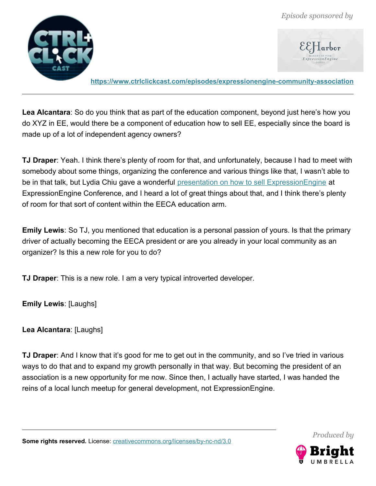

**<https://www.ctrlclickcast.com/episodes/expressionengine-community-association>**

**Lea Alcantara**: So do you think that as part of the education component, beyond just here's how you do XYZ in EE, would there be a component of education how to sell EE, especially since the board is made up of a lot of independent agency owners?

**TJ Draper**: Yeah. I think there's plenty of room for that, and unfortunately, because I had to meet with somebody about some things, organizing the conference and various things like that, I wasn't able to be in that talk, but Lydia Chiu gave a wonderful [presentation on how to sell ExpressionEngine](https://vimeo.com/ondemand/eeconf2018/300310044) at ExpressionEngine Conference, and I heard a lot of great things about that, and I think there's plenty of room for that sort of content within the EECA education arm.

**Emily Lewis**: So TJ, you mentioned that education is a personal passion of yours. Is that the primary driver of actually becoming the EECA president or are you already in your local community as an organizer? Is this a new role for you to do?

**TJ Draper**: This is a new role. I am a very typical introverted developer.

**Emily Lewis**: [Laughs]

**Lea Alcantara**: [Laughs]

**TJ Draper**: And I know that it's good for me to get out in the community, and so I've tried in various ways to do that and to expand my growth personally in that way. But becoming the president of an association is a new opportunity for me now. Since then, I actually have started, I was handed the reins of a local lunch meetup for general development, not ExpressionEngine.



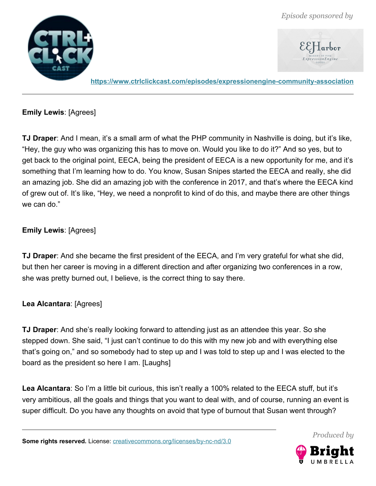

**<https://www.ctrlclickcast.com/episodes/expressionengine-community-association>**

**Emily Lewis**: [Agrees]

**TJ Draper**: And I mean, it's a small arm of what the PHP community in Nashville is doing, but it's like, "Hey, the guy who was organizing this has to move on. Would you like to do it?" And so yes, but to get back to the original point, EECA, being the president of EECA is a new opportunity for me, and it's something that I'm learning how to do. You know, Susan Snipes started the EECA and really, she did an amazing job. She did an amazing job with the conference in 2017, and that's where the EECA kind of grew out of. It's like, "Hey, we need a nonprofit to kind of do this, and maybe there are other things we can do."

## **Emily Lewis**: [Agrees]

**TJ Draper**: And she became the first president of the EECA, and I'm very grateful for what she did, but then her career is moving in a different direction and after organizing two conferences in a row, she was pretty burned out, I believe, is the correct thing to say there.

**Lea Alcantara**: [Agrees]

**TJ Draper**: And she's really looking forward to attending just as an attendee this year. So she stepped down. She said, "I just can't continue to do this with my new job and with everything else that's going on," and so somebody had to step up and I was told to step up and I was elected to the board as the president so here I am. [Laughs]

**Lea Alcantara**: So I'm a little bit curious, this isn't really a 100% related to the EECA stuff, but it's very ambitious, all the goals and things that you want to deal with, and of course, running an event is super difficult. Do you have any thoughts on avoid that type of burnout that Susan went through?

Some rights reserved. License: [creativecommons.org/licenses/by-nc-nd/3.0](http://creativecommons.org/licenses/by-nc-nd/3.0/)

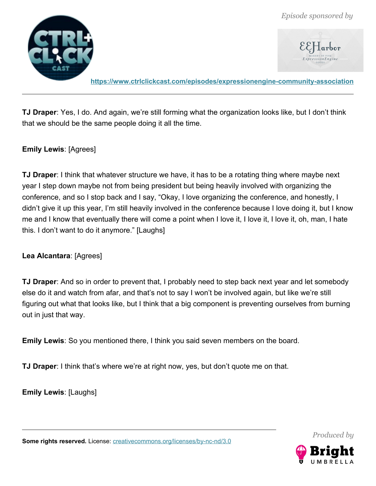



**<https://www.ctrlclickcast.com/episodes/expressionengine-community-association>**

**TJ Draper**: Yes, I do. And again, we're still forming what the organization looks like, but I don't think that we should be the same people doing it all the time.

#### **Emily Lewis**: [Agrees]

**TJ Draper**: I think that whatever structure we have, it has to be a rotating thing where maybe next year I step down maybe not from being president but being heavily involved with organizing the conference, and so I stop back and I say, "Okay, I love organizing the conference, and honestly, I didn't give it up this year, I'm still heavily involved in the conference because I love doing it, but I know me and I know that eventually there will come a point when I love it, I love it, I love it, oh, man, I hate this. I don't want to do it anymore." [Laughs]

#### **Lea Alcantara**: [Agrees]

**TJ Draper**: And so in order to prevent that, I probably need to step back next year and let somebody else do it and watch from afar, and that's not to say I won't be involved again, but like we're still figuring out what that looks like, but I think that a big component is preventing ourselves from burning out in just that way.

**Emily Lewis**: So you mentioned there, I think you said seven members on the board.

**TJ Draper**: I think that's where we're at right now, yes, but don't quote me on that.

**Emily Lewis**: [Laughs]

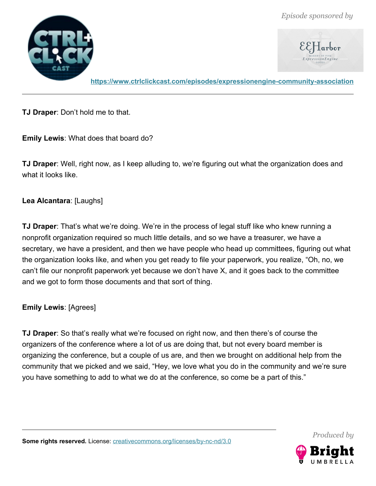



**<https://www.ctrlclickcast.com/episodes/expressionengine-community-association>**

**TJ Draper**: Don't hold me to that.

**Emily Lewis**: What does that board do?

**TJ Draper**: Well, right now, as I keep alluding to, we're figuring out what the organization does and what it looks like.

### **Lea Alcantara**: [Laughs]

**TJ Draper**: That's what we're doing. We're in the process of legal stuff like who knew running a nonprofit organization required so much little details, and so we have a treasurer, we have a secretary, we have a president, and then we have people who head up committees, figuring out what the organization looks like, and when you get ready to file your paperwork, you realize, "Oh, no, we can't file our nonprofit paperwork yet because we don't have X, and it goes back to the committee and we got to form those documents and that sort of thing.

### **Emily Lewis**: [Agrees]

**TJ Draper**: So that's really what we're focused on right now, and then there's of course the organizers of the conference where a lot of us are doing that, but not every board member is organizing the conference, but a couple of us are, and then we brought on additional help from the community that we picked and we said, "Hey, we love what you do in the community and we're sure you have something to add to what we do at the conference, so come be a part of this."

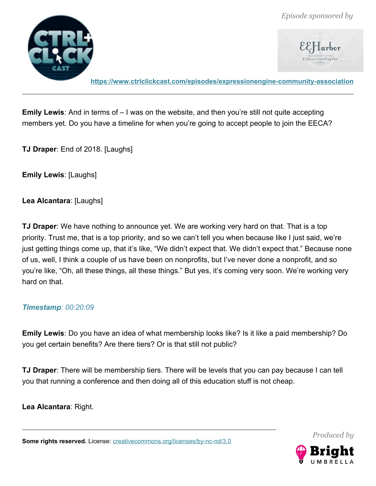

**<https://www.ctrlclickcast.com/episodes/expressionengine-community-association>**

**Emily Lewis**: And in terms of – I was on the website, and then you're still not quite accepting members yet. Do you have a timeline for when you're going to accept people to join the EECA?

**TJ Draper**: End of 2018. [Laughs]

**Emily Lewis**: [Laughs]

**Lea Alcantara**: [Laughs]

**TJ Draper**: We have nothing to announce yet. We are working very hard on that. That is a top priority. Trust me, that is a top priority, and so we can't tell you when because like I just said, we're just getting things come up, that it's like, "We didn't expect that. We didn't expect that." Because none of us, well, I think a couple of us have been on nonprofits, but I've never done a nonprofit, and so you're like, "Oh, all these things, all these things." But yes, it's coming very soon. We're working very hard on that.

#### *Timestamp: 00:20:09*

**Emily Lewis**: Do you have an idea of what membership looks like? Is it like a paid membership? Do you get certain benefits? Are there tiers? Or is that still not public?

**TJ Draper**: There will be membership tiers. There will be levels that you can pay because I can tell you that running a conference and then doing all of this education stuff is not cheap.

**Lea Alcantara**: Right.

Some rights reserved. License: [creativecommons.org/licenses/by-nc-nd/3.0](http://creativecommons.org/licenses/by-nc-nd/3.0/)

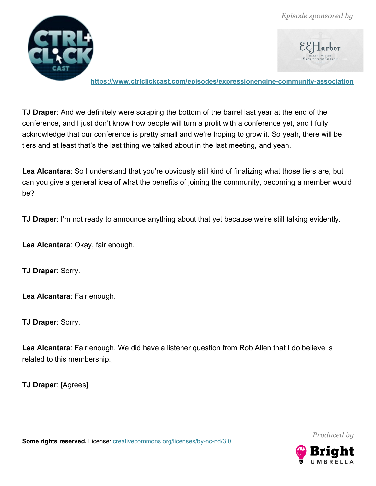



**<https://www.ctrlclickcast.com/episodes/expressionengine-community-association>**

**TJ Draper**: And we definitely were scraping the bottom of the barrel last year at the end of the conference, and I just don't know how people will turn a profit with a conference yet, and I fully acknowledge that our conference is pretty small and we're hoping to grow it. So yeah, there will be tiers and at least that's the last thing we talked about in the last meeting, and yeah.

Lea Alcantara: So I understand that you're obviously still kind of finalizing what those tiers are, but can you give a general idea of what the benefits of joining the community, becoming a member would be?

**TJ Draper**: I'm not ready to announce anything about that yet because we're still talking evidently.

**Lea Alcantara**: Okay, fair enough.

**TJ Draper**: Sorry.

**Lea Alcantara**: Fair enough.

**TJ Draper**: Sorry.

**Lea Alcantara**: Fair enough. We did have a listener question from Rob Allen that I do believe is related to this membership.,

**TJ Draper**: [Agrees]

Some rights reserved. License: [creativecommons.org/licenses/by-nc-nd/3.0](http://creativecommons.org/licenses/by-nc-nd/3.0/)

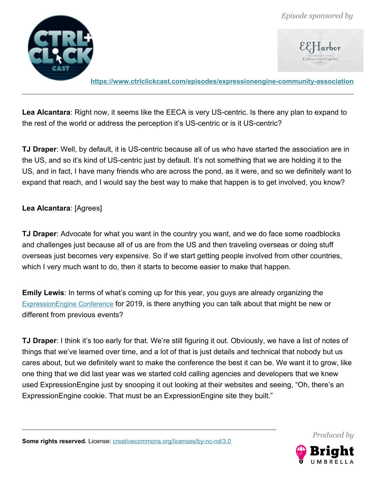

**<https://www.ctrlclickcast.com/episodes/expressionengine-community-association>**

**Lea Alcantara**: Right now, it seems like the EECA is very US-centric. Is there any plan to expand to the rest of the world or address the perception it's US-centric or is it US-centric?

**TJ Draper**: Well, by default, it is US-centric because all of us who have started the association are in the US, and so it's kind of US-centric just by default. It's not something that we are holding it to the US, and in fact, I have many friends who are across the pond, as it were, and so we definitely want to expand that reach, and I would say the best way to make that happen is to get involved, you know?

#### **Lea Alcantara**: [Agrees]

**TJ Draper**: Advocate for what you want in the country you want, and we do face some roadblocks and challenges just because all of us are from the US and then traveling overseas or doing stuff overseas just becomes very expensive. So if we start getting people involved from other countries, which I very much want to do, then it starts to become easier to make that happen.

**Emily Lewis**: In terms of what's coming up for this year, you guys are already organizing the [ExpressionEngine Conference](https://www.eeconf.com/) for 2019, is there anything you can talk about that might be new or different from previous events?

**TJ Draper**: I think it's too early for that. We're still figuring it out. Obviously, we have a list of notes of things that we've learned over time, and a lot of that is just details and technical that nobody but us cares about, but we definitely want to make the conference the best it can be. We want it to grow, like one thing that we did last year was we started cold calling agencies and developers that we knew used ExpressionEngine just by snooping it out looking at their websites and seeing, "Oh, there's an ExpressionEngine cookie. That must be an ExpressionEngine site they built."

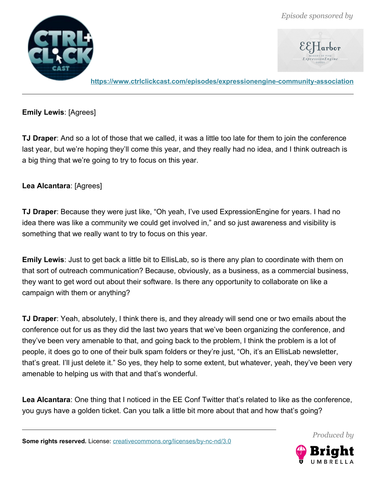

**<https://www.ctrlclickcast.com/episodes/expressionengine-community-association>**

**Emily Lewis**: [Agrees]

**TJ Draper**: And so a lot of those that we called, it was a little too late for them to join the conference last year, but we're hoping they'll come this year, and they really had no idea, and I think outreach is a big thing that we're going to try to focus on this year.

#### **Lea Alcantara**: [Agrees]

**TJ Draper**: Because they were just like, "Oh yeah, I've used ExpressionEngine for years. I had no idea there was like a community we could get involved in," and so just awareness and visibility is something that we really want to try to focus on this year.

**Emily Lewis**: Just to get back a little bit to EllisLab, so is there any plan to coordinate with them on that sort of outreach communication? Because, obviously, as a business, as a commercial business, they want to get word out about their software. Is there any opportunity to collaborate on like a campaign with them or anything?

**TJ Draper**: Yeah, absolutely, I think there is, and they already will send one or two emails about the conference out for us as they did the last two years that we've been organizing the conference, and they've been very amenable to that, and going back to the problem, I think the problem is a lot of people, it does go to one of their bulk spam folders or they're just, "Oh, it's an EllisLab newsletter, that's great. I'll just delete it." So yes, they help to some extent, but whatever, yeah, they've been very amenable to helping us with that and that's wonderful.

**Lea Alcantara**: One thing that I noticed in the EE Conf Twitter that's related to like as the conference, you guys have a golden ticket. Can you talk a little bit more about that and how that's going?



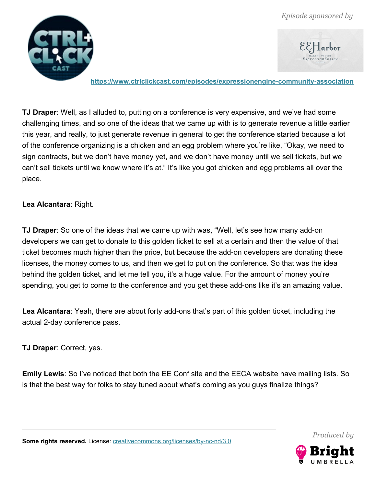



**<https://www.ctrlclickcast.com/episodes/expressionengine-community-association>**

**TJ Draper**: Well, as I alluded to, putting on a conference is very expensive, and we've had some challenging times, and so one of the ideas that we came up with is to generate revenue a little earlier this year, and really, to just generate revenue in general to get the conference started because a lot of the conference organizing is a chicken and an egg problem where you're like, "Okay, we need to sign contracts, but we don't have money yet, and we don't have money until we sell tickets, but we can't sell tickets until we know where it's at." It's like you got chicken and egg problems all over the place.

**Lea Alcantara**: Right.

**TJ Draper**: So one of the ideas that we came up with was, "Well, let's see how many add-on developers we can get to donate to this golden ticket to sell at a certain and then the value of that ticket becomes much higher than the price, but because the add-on developers are donating these licenses, the money comes to us, and then we get to put on the conference. So that was the idea behind the golden ticket, and let me tell you, it's a huge value. For the amount of money you're spending, you get to come to the conference and you get these add-ons like it's an amazing value.

**Lea Alcantara**: Yeah, there are about forty add-ons that's part of this golden ticket, including the actual 2-day conference pass.

**TJ Draper**: Correct, yes.

**Emily Lewis**: So I've noticed that both the EE Conf site and the EECA website have mailing lists. So is that the best way for folks to stay tuned about what's coming as you guys finalize things?



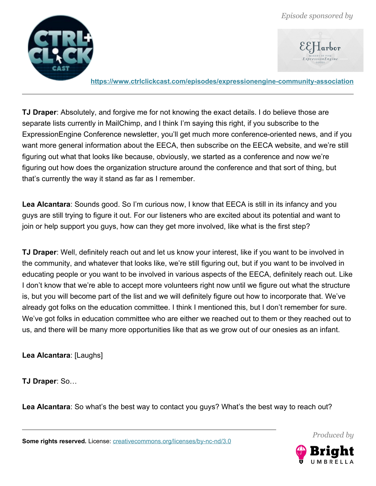



**<https://www.ctrlclickcast.com/episodes/expressionengine-community-association>**

**TJ Draper**: Absolutely, and forgive me for not knowing the exact details. I do believe those are separate lists currently in MailChimp, and I think I'm saying this right, if you subscribe to the ExpressionEngine Conference newsletter, you'll get much more conference-oriented news, and if you want more general information about the EECA, then subscribe on the EECA website, and we're still figuring out what that looks like because, obviously, we started as a conference and now we're figuring out how does the organization structure around the conference and that sort of thing, but that's currently the way it stand as far as I remember.

**Lea Alcantara**: Sounds good. So I'm curious now, I know that EECA is still in its infancy and you guys are still trying to figure it out. For our listeners who are excited about its potential and want to join or help support you guys, how can they get more involved, like what is the first step?

**TJ Draper**: Well, definitely reach out and let us know your interest, like if you want to be involved in the community, and whatever that looks like, we're still figuring out, but if you want to be involved in educating people or you want to be involved in various aspects of the EECA, definitely reach out. Like I don't know that we're able to accept more volunteers right now until we figure out what the structure is, but you will become part of the list and we will definitely figure out how to incorporate that. We've already got folks on the education committee. I think I mentioned this, but I don't remember for sure. We've got folks in education committee who are either we reached out to them or they reached out to us, and there will be many more opportunities like that as we grow out of our onesies as an infant.

**Lea Alcantara**: [Laughs]

**TJ Draper**: So…

**Lea Alcantara**: So what's the best way to contact you guys? What's the best way to reach out?

Some rights reserved. License: [creativecommons.org/licenses/by-nc-nd/3.0](http://creativecommons.org/licenses/by-nc-nd/3.0/)

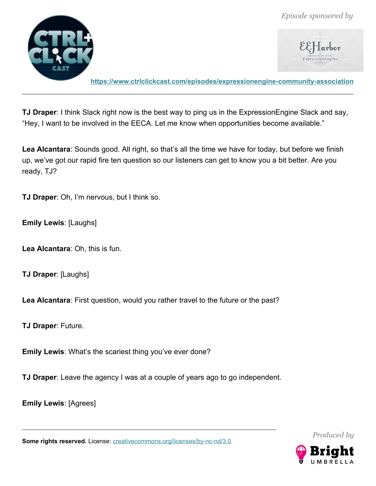

 $\mathcal{E}\mathcal{E}$  Harbor

**<https://www.ctrlclickcast.com/episodes/expressionengine-community-association>**

**TJ Draper**: I think Slack right now is the best way to ping us in the ExpressionEngine Slack and say, "Hey, I want to be involved in the EECA. Let me know when opportunities become available."

**Lea Alcantara**: Sounds good. All right, so that's all the time we have for today, but before we finish up, we've got our rapid fire ten question so our listeners can get to know you a bit better. Are you ready, TJ?

**TJ Draper**: Oh, I'm nervous, but I think so.

**Emily Lewis**: [Laughs]

**Lea Alcantara**: Oh, this is fun.

**TJ Draper**: [Laughs]

**Lea Alcantara**: First question, would you rather travel to the future or the past?

**TJ Draper**: Future.

**Emily Lewis**: What's the scariest thing you've ever done?

**TJ Draper**: Leave the agency I was at a couple of years ago to go independent.

**Emily Lewis**: [Agrees]

Some rights reserved. License: [creativecommons.org/licenses/by-nc-nd/3.0](http://creativecommons.org/licenses/by-nc-nd/3.0/)



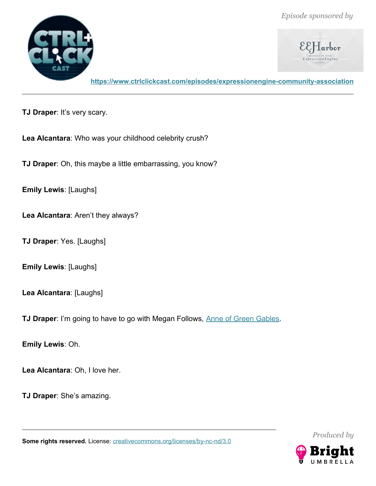



**<https://www.ctrlclickcast.com/episodes/expressionengine-community-association>**

**TJ Draper**: It's very scary.

**Lea Alcantara**: Who was your childhood celebrity crush?

**TJ Draper**: Oh, this maybe a little embarrassing, you know?

**Emily Lewis**: [Laughs]

**Lea Alcantara**: Aren't they always?

**TJ Draper**: Yes. [Laughs]

**Emily Lewis**: [Laughs]

**Lea Alcantara**: [Laughs]

**TJ Draper:** I'm going to have to go with Megan Follows, [Anne of Green Gables.](https://www.imdb.com/title/tt0088727/)

**Emily Lewis**: Oh.

**Lea Alcantara**: Oh, I love her.

**TJ Draper**: She's amazing.

**Some rights reserved.** License: **creativecommons.org/licenses/by-nc-nd/3.0** 



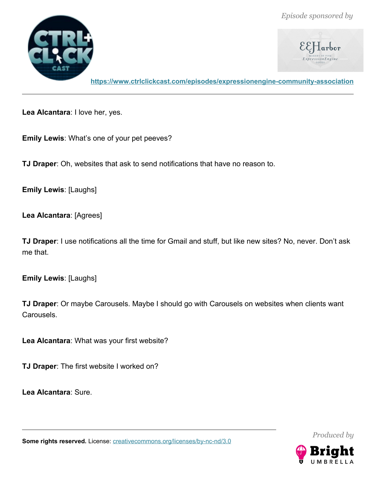



**<https://www.ctrlclickcast.com/episodes/expressionengine-community-association>**

**Lea Alcantara**: I love her, yes.

**Emily Lewis**: What's one of your pet peeves?

**TJ Draper**: Oh, websites that ask to send notifications that have no reason to.

**Emily Lewis**: [Laughs]

**Lea Alcantara**: [Agrees]

**TJ Draper**: I use notifications all the time for Gmail and stuff, but like new sites? No, never. Don't ask me that.

**Emily Lewis**: [Laughs]

**TJ Draper**: Or maybe Carousels. Maybe I should go with Carousels on websites when clients want Carousels.

**Lea Alcantara**: What was your first website?

**TJ Draper**: The first website I worked on?

**Lea Alcantara**: Sure.

*Produced by*



**Some rights reserved.** License: **creativecommons.org/licenses/by-nc-nd/3.0**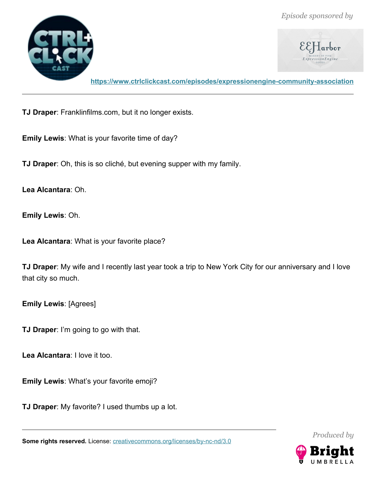

**<https://www.ctrlclickcast.com/episodes/expressionengine-community-association>**

**TJ Draper**: Franklinfilms.com, but it no longer exists.

**Emily Lewis**: What is your favorite time of day?

**TJ Draper**: Oh, this is so cliché, but evening supper with my family.

**Lea Alcantara**: Oh.

**Emily Lewis**: Oh.

**Lea Alcantara**: What is your favorite place?

**TJ Draper**: My wife and I recently last year took a trip to New York City for our anniversary and I love that city so much.

**Emily Lewis**: [Agrees]

**TJ Draper**: I'm going to go with that.

**Lea Alcantara**: I love it too.

**Emily Lewis**: What's your favorite emoji?

**TJ Draper**: My favorite? I used thumbs up a lot.

**Some rights reserved.** License: **creativecommons.org/licenses/by-nc-nd/3.0** 

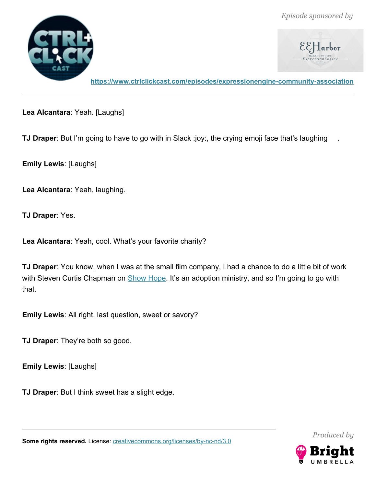



**<https://www.ctrlclickcast.com/episodes/expressionengine-community-association>**

**Lea Alcantara**: Yeah. [Laughs]

**TJ Draper**: But I'm going to have to go with in Slack :joy:, the crying emoji face that's laughing

**Emily Lewis**: [Laughs]

**Lea Alcantara**: Yeah, laughing.

**TJ Draper**: Yes.

**Lea Alcantara**: Yeah, cool. What's your favorite charity?

**TJ Draper**: You know, when I was at the small film company, I had a chance to do a little bit of work with Steven Curtis Chapman on [Show Hope.](https://showhope.org/) It's an adoption ministry, and so I'm going to go with that.

**Emily Lewis**: All right, last question, sweet or savory?

**TJ Draper**: They're both so good.

**Emily Lewis**: [Laughs]

**TJ Draper**: But I think sweet has a slight edge.

*Produced by*



Some rights reserved. License: [creativecommons.org/licenses/by-nc-nd/3.0](http://creativecommons.org/licenses/by-nc-nd/3.0/)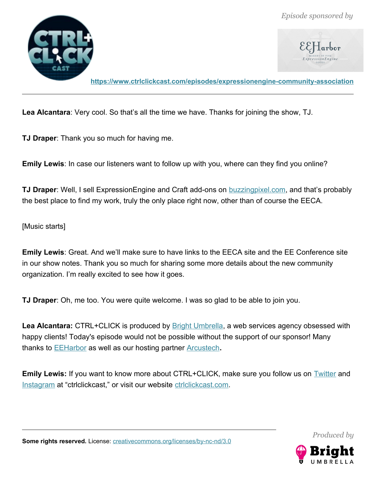

**<https://www.ctrlclickcast.com/episodes/expressionengine-community-association>**

**Lea Alcantara**: Very cool. So that's all the time we have. Thanks for joining the show, TJ.

**TJ Draper**: Thank you so much for having me.

**Emily Lewis**: In case our listeners want to follow up with you, where can they find you online?

**TJ Draper**: Well, I sell ExpressionEngine and Craft add-ons on [buzzingpixel.com,](http://www.buzzingpixel.com/) and that's probably the best place to find my work, truly the only place right now, other than of course the EECA.

[Music starts]

**Emily Lewis**: Great. And we'll make sure to have links to the EECA site and the EE Conference site in our show notes. Thank you so much for sharing some more details about the new community organization. I'm really excited to see how it goes.

**TJ Draper**: Oh, me too. You were quite welcome. I was so glad to be able to join you.

Lea Alcantara: CTRL+CLICK is produced by **Bright Umbrella**, a web services agency obsessed with happy clients! Today's episode would not be possible without the support of our sponsor! Many thanks to [EEHarbor](https://eeharbor.com/?utm_source=CTRLCLICK) as well as our hosting partner [Arcustech](https://arcustech.com/).

**Emily Lewis:** If you want to know more about CTRL+CLICK, make sure you follow us on **Twitter** and [Instagram](http://instagram.com/ctrlclickcast) at "ctrlclickcast," or visit our website [ctrlclickcast.com.](https://www.ctrlclickcast.com/)

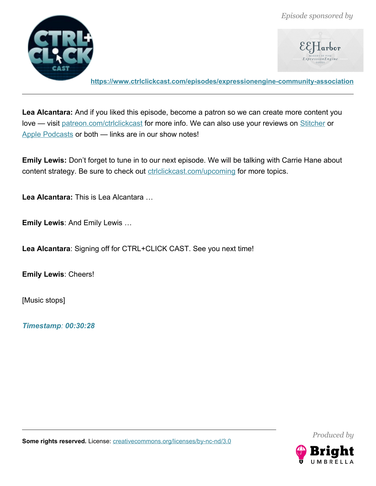

 $\mathcal{E}\mathcal{E}$ Harbor

**<https://www.ctrlclickcast.com/episodes/expressionengine-community-association>**

**Lea Alcantara:** And if you liked this episode, become a patron so we can create more content you love — visit [patreon.com/ctrlclickcast](https://patreon.com/ctrlclickcast) for more info. We can also use your reviews on [Stitcher](http://www.stitcher.com/s?fid=49341&refid=stpr) or [Apple Podcasts](https://itunes.apple.com/us/podcast/ctrl+click-cast/id446900959) or both — links are in our show notes!

**Emily Lewis:** Don't forget to tune in to our next episode. We will be talking with Carrie Hane about content strategy. Be sure to check out **ctrlclickcast.com/upcoming** for more topics.

**Lea Alcantara:** This is Lea Alcantara …

**Emily Lewis**: And Emily Lewis …

**Lea Alcantara**: Signing off for CTRL+CLICK CAST. See you next time!

**Emily Lewis**: Cheers!

[Music stops]

*Timestamp: 00:30:28*